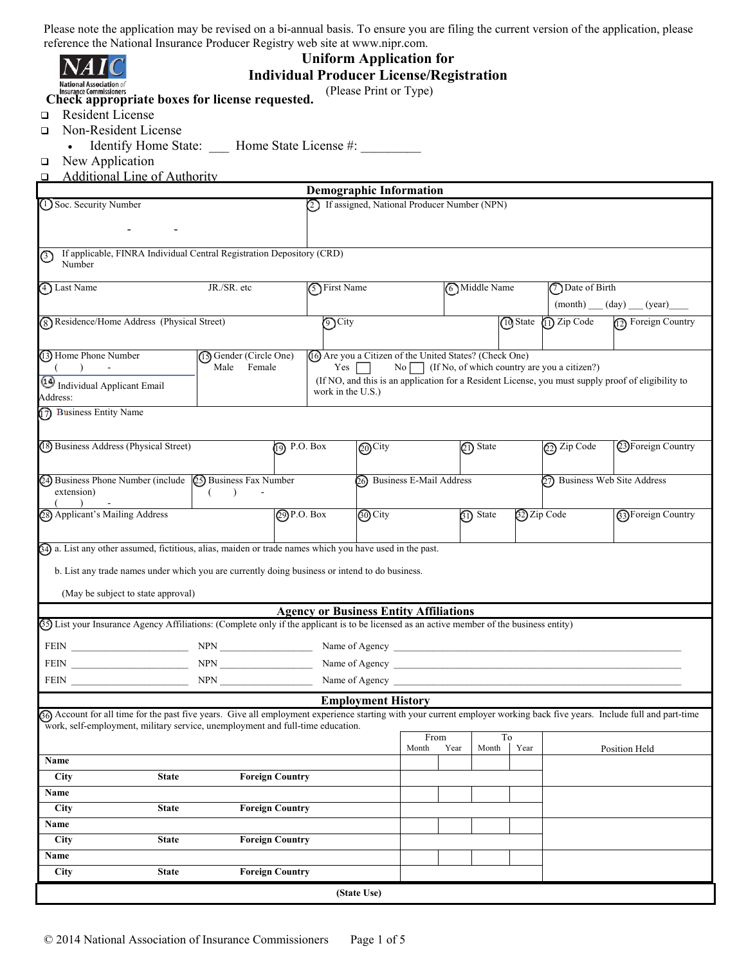| reference the National Insurance Producer Registry web site at www.nipr.com.                                                                                                                                                   |                                                 |                                               |                           |                             |                                                          |               |                                                        |                                                                                                    |  |
|--------------------------------------------------------------------------------------------------------------------------------------------------------------------------------------------------------------------------------|-------------------------------------------------|-----------------------------------------------|---------------------------|-----------------------------|----------------------------------------------------------|---------------|--------------------------------------------------------|----------------------------------------------------------------------------------------------------|--|
|                                                                                                                                                                                                                                |                                                 | <b>Uniform Application for</b>                |                           |                             |                                                          |               |                                                        |                                                                                                    |  |
|                                                                                                                                                                                                                                | <b>Individual Producer License/Registration</b> |                                               |                           |                             |                                                          |               |                                                        |                                                                                                    |  |
| Insurance Commissioners<br>Check appropriate boxes for license requested.                                                                                                                                                      |                                                 |                                               | (Please Print or Type)    |                             |                                                          |               |                                                        |                                                                                                    |  |
| <b>Resident License</b>                                                                                                                                                                                                        |                                                 |                                               |                           |                             |                                                          |               |                                                        |                                                                                                    |  |
| □<br>Non-Resident License                                                                                                                                                                                                      |                                                 |                                               |                           |                             |                                                          |               |                                                        |                                                                                                    |  |
| □                                                                                                                                                                                                                              |                                                 |                                               |                           |                             |                                                          |               |                                                        |                                                                                                    |  |
| New Application                                                                                                                                                                                                                | Identify Home State: Mome State License #:      |                                               |                           |                             |                                                          |               |                                                        |                                                                                                    |  |
| $\Box$<br><b>Additional Line of Authority</b>                                                                                                                                                                                  |                                                 |                                               |                           |                             |                                                          |               |                                                        |                                                                                                    |  |
| $\Box$                                                                                                                                                                                                                         |                                                 | <b>Demographic Information</b>                |                           |                             |                                                          |               |                                                        |                                                                                                    |  |
| 1 Soc. Security Number                                                                                                                                                                                                         |                                                 |                                               |                           |                             | 2) If assigned, National Producer Number (NPN)           |               |                                                        |                                                                                                    |  |
|                                                                                                                                                                                                                                |                                                 |                                               |                           |                             |                                                          |               |                                                        |                                                                                                    |  |
|                                                                                                                                                                                                                                |                                                 |                                               |                           |                             |                                                          |               |                                                        |                                                                                                    |  |
|                                                                                                                                                                                                                                |                                                 |                                               |                           |                             |                                                          |               |                                                        |                                                                                                    |  |
| If applicable, FINRA Individual Central Registration Depository (CRD)<br>の<br>Number                                                                                                                                           |                                                 |                                               |                           |                             |                                                          |               |                                                        |                                                                                                    |  |
|                                                                                                                                                                                                                                |                                                 |                                               |                           |                             |                                                          |               |                                                        |                                                                                                    |  |
| 4 Last Name<br>JR./SR. etc                                                                                                                                                                                                     |                                                 |                                               | 5 First Name              |                             | 6 Middle Name                                            |               | (7) Date of Birth                                      |                                                                                                    |  |
|                                                                                                                                                                                                                                |                                                 |                                               |                           |                             |                                                          |               | (month) (day) (year)                                   |                                                                                                    |  |
| (8) Residence/Home Address (Physical Street)                                                                                                                                                                                   |                                                 | <b>つ</b> City                                 |                           |                             |                                                          | 10 State      | $(1)$ Zip Code                                         | 12) Foreign Country                                                                                |  |
|                                                                                                                                                                                                                                |                                                 |                                               |                           |                             |                                                          |               |                                                        |                                                                                                    |  |
| 13) Home Phone Number                                                                                                                                                                                                          | (13) Gender (Circle One)                        |                                               |                           |                             | (16) Are you a Citizen of the United States? (Check One) |               |                                                        |                                                                                                    |  |
|                                                                                                                                                                                                                                | Male<br>Female                                  | Yes                                           |                           |                             |                                                          |               | No $\Box$ (If No, of which country are you a citizen?) |                                                                                                    |  |
| Individual Applicant Email                                                                                                                                                                                                     |                                                 |                                               |                           |                             |                                                          |               |                                                        | (If NO, and this is an application for a Resident License, you must supply proof of eligibility to |  |
| Address:                                                                                                                                                                                                                       |                                                 | work in the U.S.)                             |                           |                             |                                                          |               |                                                        |                                                                                                    |  |
| 17) Business Entity Name                                                                                                                                                                                                       |                                                 |                                               |                           |                             |                                                          |               |                                                        |                                                                                                    |  |
|                                                                                                                                                                                                                                |                                                 |                                               |                           |                             |                                                          |               |                                                        |                                                                                                    |  |
| (18) Business Address (Physical Street)                                                                                                                                                                                        | $\overline{(\sqrt{9})}$ P.O. Box                |                                               | @City                     |                             | 21) State                                                |               | $(2)$ Zip Code                                         | 23 Foreign Country                                                                                 |  |
|                                                                                                                                                                                                                                |                                                 |                                               |                           |                             |                                                          |               |                                                        |                                                                                                    |  |
|                                                                                                                                                                                                                                |                                                 |                                               |                           |                             |                                                          |               |                                                        |                                                                                                    |  |
| 24) Business Phone Number (include 25) Business Fax Number<br>extension)                                                                                                                                                       |                                                 |                                               |                           | 26) Business E-Mail Address |                                                          |               | 27) Business Web Site Address                          |                                                                                                    |  |
|                                                                                                                                                                                                                                |                                                 |                                               |                           |                             |                                                          |               |                                                        |                                                                                                    |  |
| 28) Applicant's Mailing Address                                                                                                                                                                                                | <b>@P.O. Box</b>                                |                                               | <b>@O</b> City            |                             | (31) State                                               |               | 32 Zip Code                                            | <b>63) Foreign Country</b>                                                                         |  |
|                                                                                                                                                                                                                                |                                                 |                                               |                           |                             |                                                          |               |                                                        |                                                                                                    |  |
| 34) a. List any other assumed, fictitious, alias, maiden or trade names which you have used in the past.                                                                                                                       |                                                 |                                               |                           |                             |                                                          |               |                                                        |                                                                                                    |  |
| b. List any trade names under which you are currently doing business or intend to do business.                                                                                                                                 |                                                 |                                               |                           |                             |                                                          |               |                                                        |                                                                                                    |  |
|                                                                                                                                                                                                                                |                                                 |                                               |                           |                             |                                                          |               |                                                        |                                                                                                    |  |
| (May be subject to state approval)                                                                                                                                                                                             |                                                 |                                               |                           |                             |                                                          |               |                                                        |                                                                                                    |  |
|                                                                                                                                                                                                                                |                                                 | <b>Agency or Business Entity Affiliations</b> |                           |                             |                                                          |               |                                                        |                                                                                                    |  |
| (5) List your Insurance Agency Affiliations: (Complete only if the applicant is to be licensed as an active member of the business entity)                                                                                     |                                                 |                                               |                           |                             |                                                          |               |                                                        |                                                                                                    |  |
| FEIN NPN NPN NPN News 2 Name of Agency                                                                                                                                                                                         |                                                 |                                               |                           |                             |                                                          |               |                                                        |                                                                                                    |  |
|                                                                                                                                                                                                                                |                                                 |                                               |                           |                             |                                                          |               |                                                        |                                                                                                    |  |
| FEIN NEWSLETTEN NEWSLET NEWSLET NEWSLET NEWSLET NEWSLET NEWSLET NEWSLET NEWSLET NEWSLET NEWSLET NEWSLET NEWSLET NEWSLET NEWSLET NEWSLET NEWSLET NEWSLET NEWSLET NEWSLET NEWSLET NEWSLET NEWSLET NEWSLET NEWSLET NEWSLET NEWSLE |                                                 |                                               |                           |                             |                                                          |               |                                                        |                                                                                                    |  |
| FEIN NEWSLETTEN NEWSLETTEN NEWSLETTEN Name of Agency                                                                                                                                                                           |                                                 |                                               |                           |                             |                                                          |               |                                                        |                                                                                                    |  |
|                                                                                                                                                                                                                                |                                                 |                                               | <b>Employment History</b> |                             |                                                          |               |                                                        |                                                                                                    |  |
| 36) Account for all time for the past five years. Give all employment experience starting with your current employer working back five years. Include full and part-time                                                       |                                                 |                                               |                           |                             |                                                          |               |                                                        |                                                                                                    |  |
| work, self-employment, military service, unemployment and full-time education.                                                                                                                                                 |                                                 |                                               |                           | From                        |                                                          | To            |                                                        |                                                                                                    |  |
|                                                                                                                                                                                                                                |                                                 |                                               |                           | Month                       | Year                                                     | Month<br>Year |                                                        | Position Held                                                                                      |  |
| Name                                                                                                                                                                                                                           |                                                 |                                               |                           |                             |                                                          |               |                                                        |                                                                                                    |  |
| <b>City</b><br><b>State</b>                                                                                                                                                                                                    | <b>Foreign Country</b>                          |                                               |                           |                             |                                                          |               |                                                        |                                                                                                    |  |
| Name                                                                                                                                                                                                                           |                                                 |                                               |                           |                             |                                                          |               |                                                        |                                                                                                    |  |
| <b>City</b><br><b>State</b>                                                                                                                                                                                                    | <b>Foreign Country</b>                          |                                               |                           |                             |                                                          |               |                                                        |                                                                                                    |  |
| Name                                                                                                                                                                                                                           |                                                 |                                               |                           |                             |                                                          |               |                                                        |                                                                                                    |  |
| <b>City</b><br><b>State</b>                                                                                                                                                                                                    | <b>Foreign Country</b>                          |                                               |                           |                             |                                                          |               |                                                        |                                                                                                    |  |
| Name                                                                                                                                                                                                                           |                                                 |                                               |                           |                             |                                                          |               |                                                        |                                                                                                    |  |
| <b>City</b><br><b>State</b>                                                                                                                                                                                                    | <b>Foreign Country</b>                          |                                               |                           |                             |                                                          |               |                                                        |                                                                                                    |  |
|                                                                                                                                                                                                                                |                                                 |                                               |                           |                             |                                                          |               |                                                        |                                                                                                    |  |
|                                                                                                                                                                                                                                |                                                 |                                               | (State Use)               |                             |                                                          |               |                                                        |                                                                                                    |  |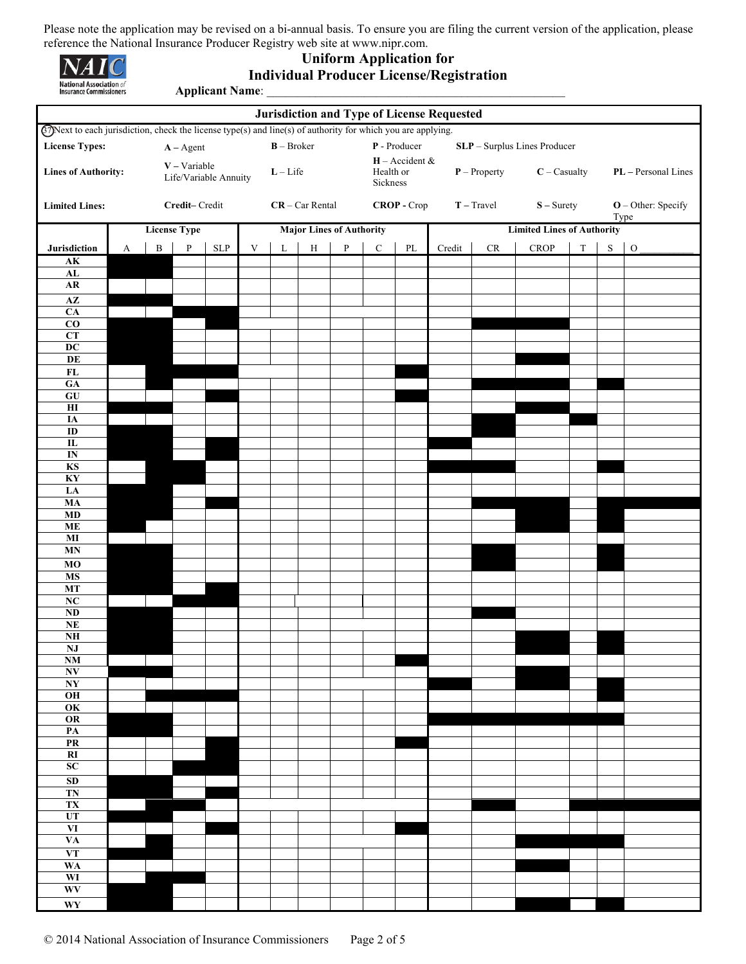

# **Uniform Application for Individual Producer License/Registration Applicant Name**: \_\_\_\_\_\_\_\_\_\_\_\_\_\_\_\_\_\_\_\_\_\_\_\_\_\_\_\_\_\_\_\_\_\_\_\_\_\_\_\_\_\_\_\_\_\_\_\_\_

| <b>Jurisdiction and Type of License Requested</b>                                                                  |                                                                             |              |                     |             |                                  |   |                                                             |              |             |                                                              |                                   |               |             |             |           |           |
|--------------------------------------------------------------------------------------------------------------------|-----------------------------------------------------------------------------|--------------|---------------------|-------------|----------------------------------|---|-------------------------------------------------------------|--------------|-------------|--------------------------------------------------------------|-----------------------------------|---------------|-------------|-------------|-----------|-----------|
| $\Omega$ Next to each jurisdiction, check the license type(s) and line(s) of authority for which you are applying. |                                                                             |              |                     |             |                                  |   |                                                             |              |             |                                                              |                                   |               |             |             |           |           |
| <b>License Types:</b>                                                                                              | P - Producer<br>$B - Broker$<br>SLP - Surplus Lines Producer<br>$A - Agent$ |              |                     |             |                                  |   |                                                             |              |             |                                                              |                                   |               |             |             |           |           |
| $V - Variable$<br><b>Lines of Authority:</b><br>Life/Variable Annuity                                              |                                                                             | $L$ – Life   |                     |             |                                  |   | $H -$ Accident &<br>Health or<br>$P$ – Property<br>Sickness |              |             | $C -$ Casualty<br>PL - Personal Lines                        |                                   |               |             |             |           |           |
| <b>Limited Lines:</b>                                                                                              | Credit-Credit                                                               |              |                     |             | $CR - Car Rental$<br>CROP - Crop |   |                                                             |              |             | $T - Travel$<br>$S -$ Surety<br>$O$ – Other: Specify<br>Type |                                   |               |             |             |           |           |
|                                                                                                                    |                                                                             |              | <b>License Type</b> |             |                                  |   | <b>Major Lines of Authority</b>                             |              |             |                                                              | <b>Limited Lines of Authority</b> |               |             |             |           |           |
| Jurisdiction                                                                                                       | $\mathbf A$                                                                 | $\, {\bf B}$ | $\, {\bf p}$        | ${\rm SLP}$ | $\mathbf V$                      | L | $\, {\rm H}$                                                | $\, {\bf p}$ | $\mathbf C$ | $\mathbf{P}\mathbf{L}$                                       | Credit                            | $\mathrm{CR}$ | <b>CROP</b> | $\mathbf T$ | ${\bf S}$ | ${\rm O}$ |
| $\mathbf{AK}$                                                                                                      |                                                                             |              |                     |             |                                  |   |                                                             |              |             |                                                              |                                   |               |             |             |           |           |
| ${\bf AL}$<br>${\bf AR}$                                                                                           |                                                                             |              |                     |             |                                  |   |                                                             |              |             |                                                              |                                   |               |             |             |           |           |
| $\overline{AZ}$                                                                                                    |                                                                             |              |                     |             |                                  |   |                                                             |              |             |                                                              |                                   |               |             |             |           |           |
| CA                                                                                                                 |                                                                             |              |                     |             |                                  |   |                                                             |              |             |                                                              |                                   |               |             |             |           |           |
| $\overline{co}$<br>CT                                                                                              |                                                                             |              |                     |             |                                  |   |                                                             |              |             |                                                              |                                   |               |             |             |           |           |
| $\overline{DC}$                                                                                                    |                                                                             |              |                     |             |                                  |   |                                                             |              |             |                                                              |                                   |               |             |             |           |           |
| DE                                                                                                                 |                                                                             |              |                     |             |                                  |   |                                                             |              |             |                                                              |                                   |               |             |             |           |           |
| $\mathbf{FL}$<br>$G_A$                                                                                             |                                                                             |              |                     |             |                                  |   |                                                             |              |             |                                                              |                                   |               |             |             |           |           |
| $\overline{GU}$                                                                                                    |                                                                             |              |                     |             |                                  |   |                                                             |              |             |                                                              |                                   |               |             |             |           |           |
| $\mathbf{H}$                                                                                                       |                                                                             |              |                     |             |                                  |   |                                                             |              |             |                                                              |                                   |               |             |             |           |           |
| IA<br>$\overline{1}$                                                                                               |                                                                             |              |                     |             |                                  |   |                                                             |              |             |                                                              |                                   |               |             |             |           |           |
| $\overline{\mathbf{L}}$                                                                                            |                                                                             |              |                     |             |                                  |   |                                                             |              |             |                                                              |                                   |               |             |             |           |           |
| $\overline{\text{IN}}$                                                                                             |                                                                             |              |                     |             |                                  |   |                                                             |              |             |                                                              |                                   |               |             |             |           |           |
| <b>KS</b><br>KY                                                                                                    |                                                                             |              |                     |             |                                  |   |                                                             |              |             |                                                              |                                   |               |             |             |           |           |
| LA                                                                                                                 |                                                                             |              |                     |             |                                  |   |                                                             |              |             |                                                              |                                   |               |             |             |           |           |
| MA                                                                                                                 |                                                                             |              |                     |             |                                  |   |                                                             |              |             |                                                              |                                   |               |             |             |           |           |
| MD<br>$\bf ME$                                                                                                     |                                                                             |              |                     |             |                                  |   |                                                             |              |             |                                                              |                                   |               |             |             |           |           |
| $\bf MI$                                                                                                           |                                                                             |              |                     |             |                                  |   |                                                             |              |             |                                                              |                                   |               |             |             |           |           |
| MN                                                                                                                 |                                                                             |              |                     |             |                                  |   |                                                             |              |             |                                                              |                                   |               |             |             |           |           |
| MO<br><b>MS</b>                                                                                                    |                                                                             |              |                     |             |                                  |   |                                                             |              |             |                                                              |                                   |               |             |             |           |           |
| <b>MT</b>                                                                                                          |                                                                             |              |                     |             |                                  |   |                                                             |              |             |                                                              |                                   |               |             |             |           |           |
| NC                                                                                                                 |                                                                             |              |                     |             |                                  |   |                                                             |              |             |                                                              |                                   |               |             |             |           |           |
| $\bf ND$<br>NE                                                                                                     |                                                                             |              |                     |             |                                  |   |                                                             |              |             |                                                              |                                   |               |             |             |           |           |
| <b>NH</b>                                                                                                          |                                                                             |              |                     |             |                                  |   |                                                             |              |             |                                                              |                                   |               |             |             |           |           |
| $\mathbf{N}\mathbf{J}$<br>$\overline{\text{NM}}$                                                                   |                                                                             |              |                     |             |                                  |   |                                                             |              |             |                                                              |                                   |               |             |             |           |           |
| $\overline{\bf N}{\bf V}$                                                                                          |                                                                             |              |                     |             |                                  |   |                                                             |              |             |                                                              |                                   |               |             |             |           |           |
| <b>NY</b>                                                                                                          |                                                                             |              |                     |             |                                  |   |                                                             |              |             |                                                              |                                   |               |             |             |           |           |
| O <sub>H</sub><br>OK                                                                                               |                                                                             |              |                     |             |                                  |   |                                                             |              |             |                                                              |                                   |               |             |             |           |           |
| OR                                                                                                                 |                                                                             |              |                     |             |                                  |   |                                                             |              |             |                                                              |                                   |               |             |             |           |           |
| $\overline{PA}$                                                                                                    |                                                                             |              |                     |             |                                  |   |                                                             |              |             |                                                              |                                   |               |             |             |           |           |
| PR<br>$\overline{\bf RI}$                                                                                          |                                                                             |              |                     |             |                                  |   |                                                             |              |             |                                                              |                                   |               |             |             |           |           |
| SC                                                                                                                 |                                                                             |              |                     |             |                                  |   |                                                             |              |             |                                                              |                                   |               |             |             |           |           |
| SD                                                                                                                 |                                                                             |              |                     |             |                                  |   |                                                             |              |             |                                                              |                                   |               |             |             |           |           |
| <b>TN</b><br>TX                                                                                                    |                                                                             |              |                     |             |                                  |   |                                                             |              |             |                                                              |                                   |               |             |             |           |           |
| UT                                                                                                                 |                                                                             |              |                     |             |                                  |   |                                                             |              |             |                                                              |                                   |               |             |             |           |           |
| VI                                                                                                                 |                                                                             |              |                     |             |                                  |   |                                                             |              |             |                                                              |                                   |               |             |             |           |           |
| VA<br><b>VT</b>                                                                                                    |                                                                             |              |                     |             |                                  |   |                                                             |              |             |                                                              |                                   |               |             |             |           |           |
| <b>WA</b>                                                                                                          |                                                                             |              |                     |             |                                  |   |                                                             |              |             |                                                              |                                   |               |             |             |           |           |
| WI                                                                                                                 |                                                                             |              |                     |             |                                  |   |                                                             |              |             |                                                              |                                   |               |             |             |           |           |
| WV                                                                                                                 |                                                                             |              |                     |             |                                  |   |                                                             |              |             |                                                              |                                   |               |             |             |           |           |
| WY                                                                                                                 |                                                                             |              |                     |             |                                  |   |                                                             |              |             |                                                              |                                   |               |             |             |           |           |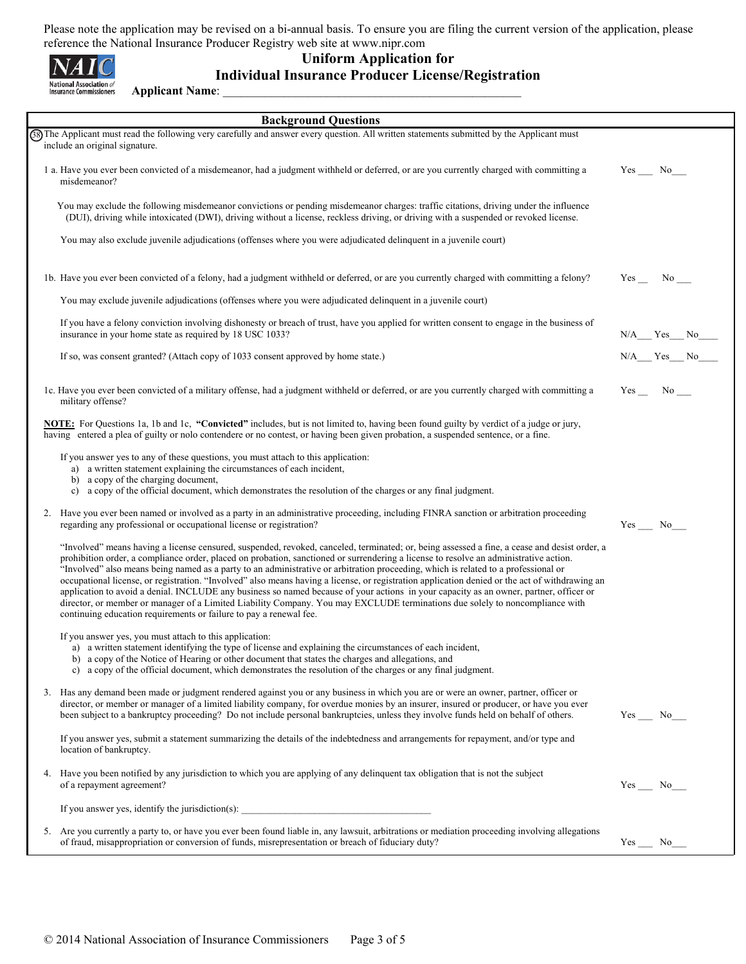

## **Uniform Application for Individual Insurance Producer License/Registration Applicant Name**: \_\_\_\_\_\_\_\_\_\_\_\_\_\_\_\_\_\_\_\_\_\_\_\_\_\_\_\_\_\_\_\_\_\_\_\_\_\_\_\_\_\_\_\_\_\_\_\_\_

| <b>Background Questions</b> |                                                                                                                                                                                                                                                                                                                                                                                                                                                                                                                                                                                                                                                                                                                                                                                                                                                                                                                               |                  |  |  |  |  |
|-----------------------------|-------------------------------------------------------------------------------------------------------------------------------------------------------------------------------------------------------------------------------------------------------------------------------------------------------------------------------------------------------------------------------------------------------------------------------------------------------------------------------------------------------------------------------------------------------------------------------------------------------------------------------------------------------------------------------------------------------------------------------------------------------------------------------------------------------------------------------------------------------------------------------------------------------------------------------|------------------|--|--|--|--|
|                             | GSThe Applicant must read the following very carefully and answer every question. All written statements submitted by the Applicant must<br>include an original signature.                                                                                                                                                                                                                                                                                                                                                                                                                                                                                                                                                                                                                                                                                                                                                    |                  |  |  |  |  |
|                             | 1 a. Have you ever been convicted of a misdemeanor, had a judgment withheld or deferred, or are you currently charged with committing a<br>misdemeanor?                                                                                                                                                                                                                                                                                                                                                                                                                                                                                                                                                                                                                                                                                                                                                                       | $Yes$ No______   |  |  |  |  |
|                             | You may exclude the following misdemeanor convictions or pending misdemeanor charges: traffic citations, driving under the influence<br>(DUI), driving while intoxicated (DWI), driving without a license, reckless driving, or driving with a suspended or revoked license.                                                                                                                                                                                                                                                                                                                                                                                                                                                                                                                                                                                                                                                  |                  |  |  |  |  |
|                             | You may also exclude juvenile adjudications (offenses where you were adjudicated delinquent in a juvenile court)                                                                                                                                                                                                                                                                                                                                                                                                                                                                                                                                                                                                                                                                                                                                                                                                              |                  |  |  |  |  |
|                             | 1b. Have you ever been convicted of a felony, had a judgment withheld or deferred, or are you currently charged with committing a felony?                                                                                                                                                                                                                                                                                                                                                                                                                                                                                                                                                                                                                                                                                                                                                                                     | Yes No           |  |  |  |  |
|                             | You may exclude juvenile adjudications (offenses where you were adjudicated delinquent in a juvenile court)                                                                                                                                                                                                                                                                                                                                                                                                                                                                                                                                                                                                                                                                                                                                                                                                                   |                  |  |  |  |  |
|                             | If you have a felony conviction involving dishonesty or breach of trust, have you applied for written consent to engage in the business of<br>insurance in your home state as required by 18 USC 1033?                                                                                                                                                                                                                                                                                                                                                                                                                                                                                                                                                                                                                                                                                                                        | $N/A$ $Yes$ $No$ |  |  |  |  |
|                             | If so, was consent granted? (Attach copy of 1033 consent approved by home state.)                                                                                                                                                                                                                                                                                                                                                                                                                                                                                                                                                                                                                                                                                                                                                                                                                                             | N/A Yes No       |  |  |  |  |
|                             | 1c. Have you ever been convicted of a military offense, had a judgment withheld or deferred, or are you currently charged with committing a<br>military offense?                                                                                                                                                                                                                                                                                                                                                                                                                                                                                                                                                                                                                                                                                                                                                              | $Yes$ No $\_\_$  |  |  |  |  |
|                             | NOTE: For Questions 1a, 1b and 1c, "Convicted" includes, but is not limited to, having been found guilty by verdict of a judge or jury,<br>having entered a plea of guilty or nolo contendere or no contest, or having been given probation, a suspended sentence, or a fine.                                                                                                                                                                                                                                                                                                                                                                                                                                                                                                                                                                                                                                                 |                  |  |  |  |  |
|                             | If you answer yes to any of these questions, you must attach to this application:<br>a) a written statement explaining the circumstances of each incident,<br>b) a copy of the charging document,<br>a copy of the official document, which demonstrates the resolution of the charges or any final judgment.<br>$\mathbf{c}$                                                                                                                                                                                                                                                                                                                                                                                                                                                                                                                                                                                                 |                  |  |  |  |  |
|                             |                                                                                                                                                                                                                                                                                                                                                                                                                                                                                                                                                                                                                                                                                                                                                                                                                                                                                                                               |                  |  |  |  |  |
|                             | 2. Have you ever been named or involved as a party in an administrative proceeding, including FINRA sanction or arbitration proceeding<br>regarding any professional or occupational license or registration?                                                                                                                                                                                                                                                                                                                                                                                                                                                                                                                                                                                                                                                                                                                 | Yes No           |  |  |  |  |
|                             | "Involved" means having a license censured, suspended, revoked, canceled, terminated; or, being assessed a fine, a cease and desist order, a<br>prohibition order, a compliance order, placed on probation, sanctioned or surrendering a license to resolve an administrative action.<br>"Involved" also means being named as a party to an administrative or arbitration proceeding, which is related to a professional or<br>occupational license, or registration. "Involved" also means having a license, or registration application denied or the act of withdrawing an<br>application to avoid a denial. INCLUDE any business so named because of your actions in your capacity as an owner, partner, officer or<br>director, or member or manager of a Limited Liability Company. You may EXCLUDE terminations due solely to noncompliance with<br>continuing education requirements or failure to pay a renewal fee. |                  |  |  |  |  |
|                             | If you answer yes, you must attach to this application:<br>a) a written statement identifying the type of license and explaining the circumstances of each incident,<br>b) a copy of the Notice of Hearing or other document that states the charges and allegations, and<br>c) a copy of the official document, which demonstrates the resolution of the charges or any final judgment.                                                                                                                                                                                                                                                                                                                                                                                                                                                                                                                                      |                  |  |  |  |  |
|                             | 3. Has any demand been made or judgment rendered against you or any business in which you are or were an owner, partner, officer or<br>director, or member or manager of a limited liability company, for overdue monies by an insurer, insured or producer, or have you ever<br>been subject to a bankruptcy proceeding? Do not include personal bankruptcies, unless they involve funds held on behalf of others.                                                                                                                                                                                                                                                                                                                                                                                                                                                                                                           | $Yes$ No______   |  |  |  |  |
|                             | If you answer yes, submit a statement summarizing the details of the indebtedness and arrangements for repayment, and/or type and<br>location of bankruptcy.                                                                                                                                                                                                                                                                                                                                                                                                                                                                                                                                                                                                                                                                                                                                                                  |                  |  |  |  |  |
|                             | 4. Have you been notified by any jurisdiction to which you are applying of any delinguent tax obligation that is not the subject<br>of a repayment agreement?                                                                                                                                                                                                                                                                                                                                                                                                                                                                                                                                                                                                                                                                                                                                                                 | $Yes$ No $\_\_$  |  |  |  |  |
|                             |                                                                                                                                                                                                                                                                                                                                                                                                                                                                                                                                                                                                                                                                                                                                                                                                                                                                                                                               |                  |  |  |  |  |
|                             | 5. Are you currently a party to, or have you ever been found liable in, any lawsuit, arbitrations or mediation proceeding involving allegations<br>of fraud, misappropriation or conversion of funds, misrepresentation or breach of fiduciary duty?                                                                                                                                                                                                                                                                                                                                                                                                                                                                                                                                                                                                                                                                          | Yes<br>No        |  |  |  |  |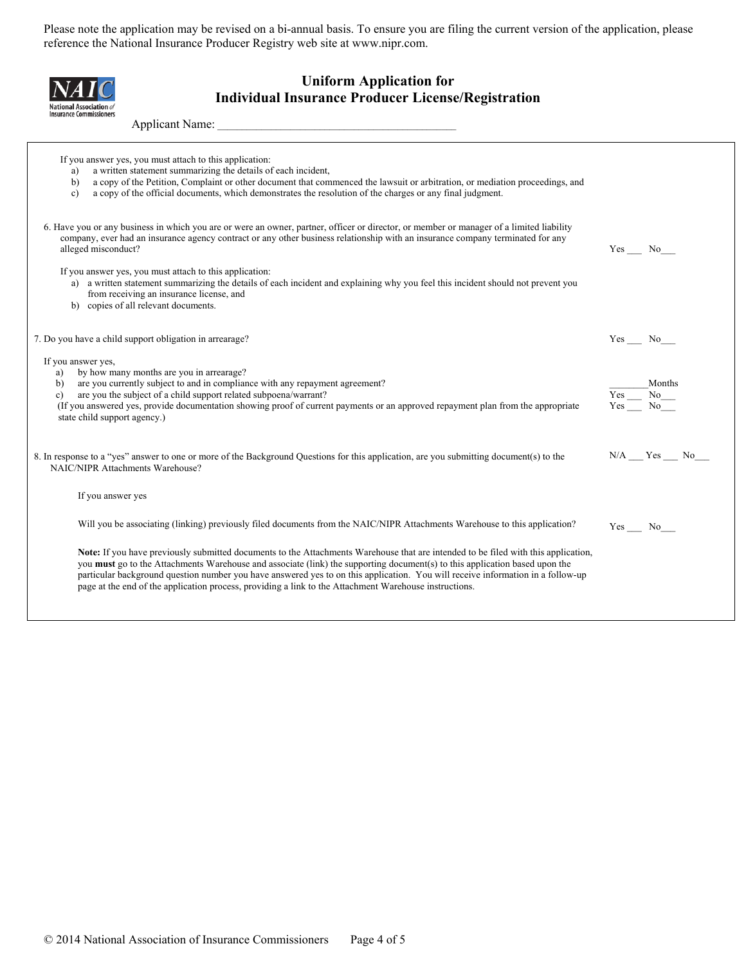| <b>Uniform Application for</b><br><b>Individual Insurance Producer License/Registration</b><br>hal Association of                                                                                                                                                                                                                                                                                                                                                                                                     |                  |
|-----------------------------------------------------------------------------------------------------------------------------------------------------------------------------------------------------------------------------------------------------------------------------------------------------------------------------------------------------------------------------------------------------------------------------------------------------------------------------------------------------------------------|------------------|
| <b>Insurance Commissioners</b><br>Applicant Name:                                                                                                                                                                                                                                                                                                                                                                                                                                                                     |                  |
| If you answer yes, you must attach to this application:<br>a written statement summarizing the details of each incident,<br>a)<br>a copy of the Petition, Complaint or other document that commenced the lawsuit or arbitration, or mediation proceedings, and<br>b)<br>a copy of the official documents, which demonstrates the resolution of the charges or any final judgment.<br>$\mathbf{c}$ )                                                                                                                   |                  |
| 6. Have you or any business in which you are or were an owner, partner, officer or director, or member or manager of a limited liability<br>company, ever had an insurance agency contract or any other business relationship with an insurance company terminated for any<br>alleged misconduct?                                                                                                                                                                                                                     | Yes No           |
| If you answer yes, you must attach to this application:<br>a) a written statement summarizing the details of each incident and explaining why you feel this incident should not prevent you<br>from receiving an insurance license, and<br>b) copies of all relevant documents.                                                                                                                                                                                                                                       |                  |
| 7. Do you have a child support obligation in arrearage?                                                                                                                                                                                                                                                                                                                                                                                                                                                               | $Yes$ No______   |
| If you answer yes,<br>a) by how many months are you in arrearage?<br>are you currently subject to and in compliance with any repayment agreement?<br>b)<br>are you the subject of a child support related subpoena/warrant?<br>$\mathbf{c}$<br>(If you answered yes, provide documentation showing proof of current payments or an approved repayment plan from the appropriate<br>state child support agency.)                                                                                                       |                  |
| 8. In response to a "yes" answer to one or more of the Background Questions for this application, are you submitting document(s) to the<br>NAIC/NIPR Attachments Warehouse?                                                                                                                                                                                                                                                                                                                                           | $N/A$ $Yes$ $No$ |
| If you answer yes                                                                                                                                                                                                                                                                                                                                                                                                                                                                                                     |                  |
| Will you be associating (linking) previously filed documents from the NAIC/NIPR Attachments Warehouse to this application?                                                                                                                                                                                                                                                                                                                                                                                            | $Yes$ No $\_\_$  |
| Note: If you have previously submitted documents to the Attachments Warehouse that are intended to be filed with this application,<br>you <b>must</b> go to the Attachments Warehouse and associate (link) the supporting document(s) to this application based upon the<br>particular background question number you have answered yes to on this application. You will receive information in a follow-up<br>page at the end of the application process, providing a link to the Attachment Warehouse instructions. |                  |